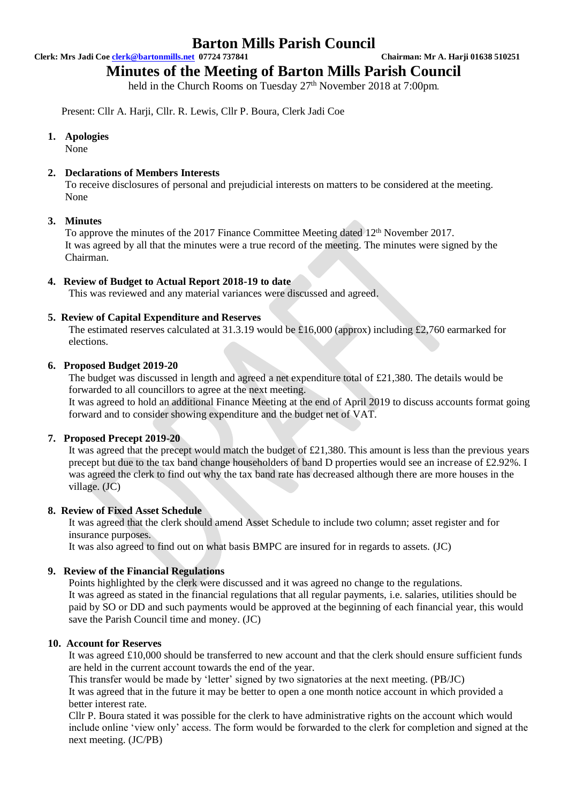### **Barton Mills Parish Council**

**Clerk: Mrs Jadi Coe [clerk@bartonmills.net](mailto:clerk@bartonmills.net) 07724 737841 Chairman: Mr A. Harji 01638 510251**

## **Minutes of the Meeting of Barton Mills Parish Council**

held in the Church Rooms on Tuesday 27<sup>th</sup> November 2018 at 7:00pm.

Present: Cllr A. Harji, Cllr. R. Lewis, Cllr P. Boura, Clerk Jadi Coe

#### **1. Apologies**

None

#### **2. Declarations of Members Interests**

To receive disclosures of personal and prejudicial interests on matters to be considered at the meeting. None

#### **3. Minutes**

To approve the minutes of the 2017 Finance Committee Meeting dated 12<sup>th</sup> November 2017. It was agreed by all that the minutes were a true record of the meeting. The minutes were signed by the Chairman.

#### **4. Review of Budget to Actual Report 2018-19 to date**

This was reviewed and any material variances were discussed and agreed.

#### **5. Review of Capital Expenditure and Reserves**

The estimated reserves calculated at 31.3.19 would be £16,000 (approx) including £2,760 earmarked for elections.

#### **6. Proposed Budget 2019-20**

The budget was discussed in length and agreed a net expenditure total of £21,380. The details would be forwarded to all councillors to agree at the next meeting.

It was agreed to hold an additional Finance Meeting at the end of April 2019 to discuss accounts format going forward and to consider showing expenditure and the budget net of VAT.

#### **7. Proposed Precept 2019-20**

It was agreed that the precept would match the budget of £21,380. This amount is less than the previous years precept but due to the tax band change householders of band D properties would see an increase of £2.92%. I was agreed the clerk to find out why the tax band rate has decreased although there are more houses in the village. (JC)

#### **8. Review of Fixed Asset Schedule**

It was agreed that the clerk should amend Asset Schedule to include two column; asset register and for insurance purposes.

It was also agreed to find out on what basis BMPC are insured for in regards to assets. (JC)

#### **9. Review of the Financial Regulations**

Points highlighted by the clerk were discussed and it was agreed no change to the regulations. It was agreed as stated in the financial regulations that all regular payments, i.e. salaries, utilities should be paid by SO or DD and such payments would be approved at the beginning of each financial year, this would save the Parish Council time and money. (JC)

#### **10. Account for Reserves**

It was agreed £10,000 should be transferred to new account and that the clerk should ensure sufficient funds are held in the current account towards the end of the year.

This transfer would be made by 'letter' signed by two signatories at the next meeting. (PB/JC) It was agreed that in the future it may be better to open a one month notice account in which provided a better interest rate.

Cllr P. Boura stated it was possible for the clerk to have administrative rights on the account which would include online 'view only' access. The form would be forwarded to the clerk for completion and signed at the next meeting. (JC/PB)